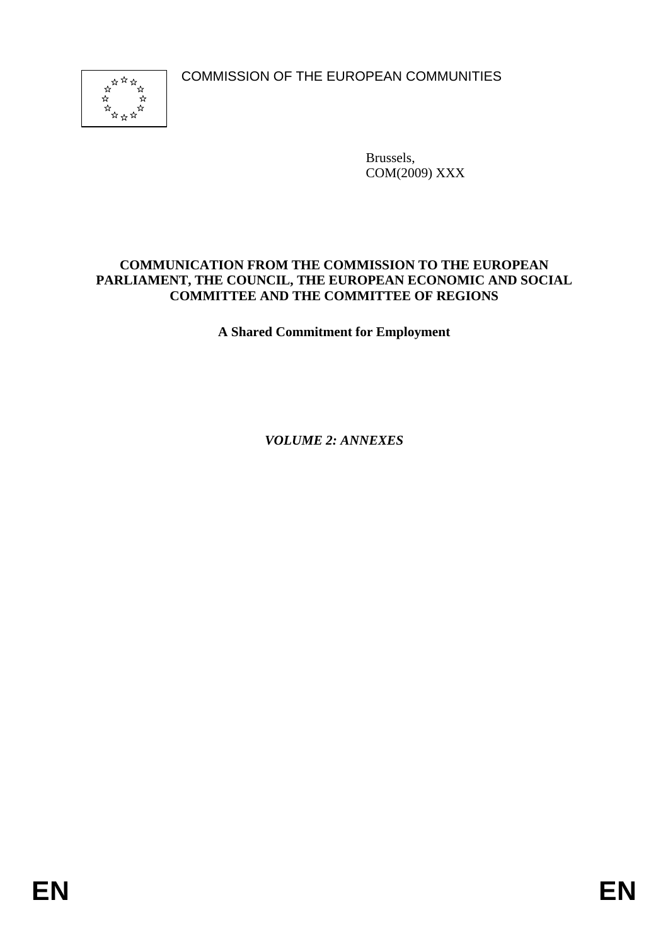COMMISSION OF THE EUROPEAN COMMUNITIES



Brussels, COM(2009) XXX

#### **COMMUNICATION FROM THE COMMISSION TO THE EUROPEAN PARLIAMENT, THE COUNCIL, THE EUROPEAN ECONOMIC AND SOCIAL COMMITTEE AND THE COMMITTEE OF REGIONS**

**A Shared Commitment for Employment** 

*VOLUME 2: ANNEXES*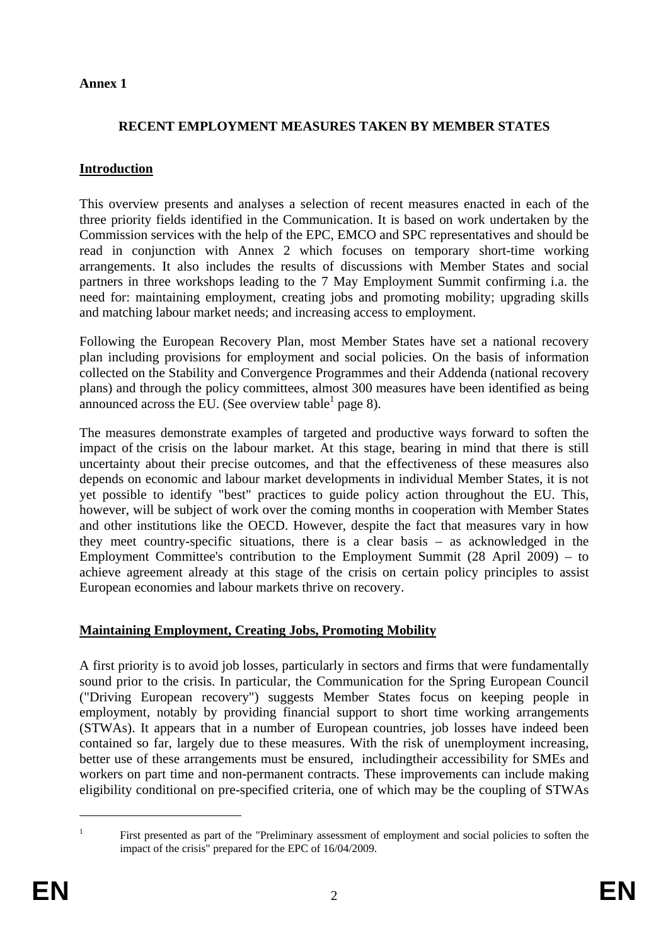#### **Annex 1**

#### **RECENT EMPLOYMENT MEASURES TAKEN BY MEMBER STATES**

#### **Introduction**

This overview presents and analyses a selection of recent measures enacted in each of the three priority fields identified in the Communication. It is based on work undertaken by the Commission services with the help of the EPC, EMCO and SPC representatives and should be read in conjunction with Annex 2 which focuses on temporary short-time working arrangements. It also includes the results of discussions with Member States and social partners in three workshops leading to the 7 May Employment Summit confirming i.a. the need for: maintaining employment, creating jobs and promoting mobility; upgrading skills and matching labour market needs; and increasing access to employment.

Following the European Recovery Plan, most Member States have set a national recovery plan including provisions for employment and social policies. On the basis of information collected on the Stability and Convergence Programmes and their Addenda (national recovery plans) and through the policy committees, almost 300 measures have been identified as being announced across the EU. (See overview table  $1$  page 8).

The measures demonstrate examples of targeted and productive ways forward to soften the impact of the crisis on the labour market. At this stage, bearing in mind that there is still uncertainty about their precise outcomes, and that the effectiveness of these measures also depends on economic and labour market developments in individual Member States, it is not yet possible to identify "best" practices to guide policy action throughout the EU. This, however, will be subject of work over the coming months in cooperation with Member States and other institutions like the OECD. However, despite the fact that measures vary in how they meet country-specific situations, there is a clear basis – as acknowledged in the Employment Committee's contribution to the Employment Summit (28 April 2009) – to achieve agreement already at this stage of the crisis on certain policy principles to assist European economies and labour markets thrive on recovery.

# **Maintaining Employment, Creating Jobs, Promoting Mobility**

A first priority is to avoid job losses, particularly in sectors and firms that were fundamentally sound prior to the crisis. In particular, the Communication for the Spring European Council ("Driving European recovery") suggests Member States focus on keeping people in employment, notably by providing financial support to short time working arrangements (STWAs). It appears that in a number of European countries, job losses have indeed been contained so far, largely due to these measures. With the risk of unemployment increasing, better use of these arrangements must be ensured, includingtheir accessibility for SMEs and workers on part time and non-permanent contracts. These improvements can include making eligibility conditional on pre-specified criteria, one of which may be the coupling of STWAs

<u>.</u>

<sup>1</sup>

First presented as part of the "Preliminary assessment of employment and social policies to soften the impact of the crisis" prepared for the EPC of 16/04/2009.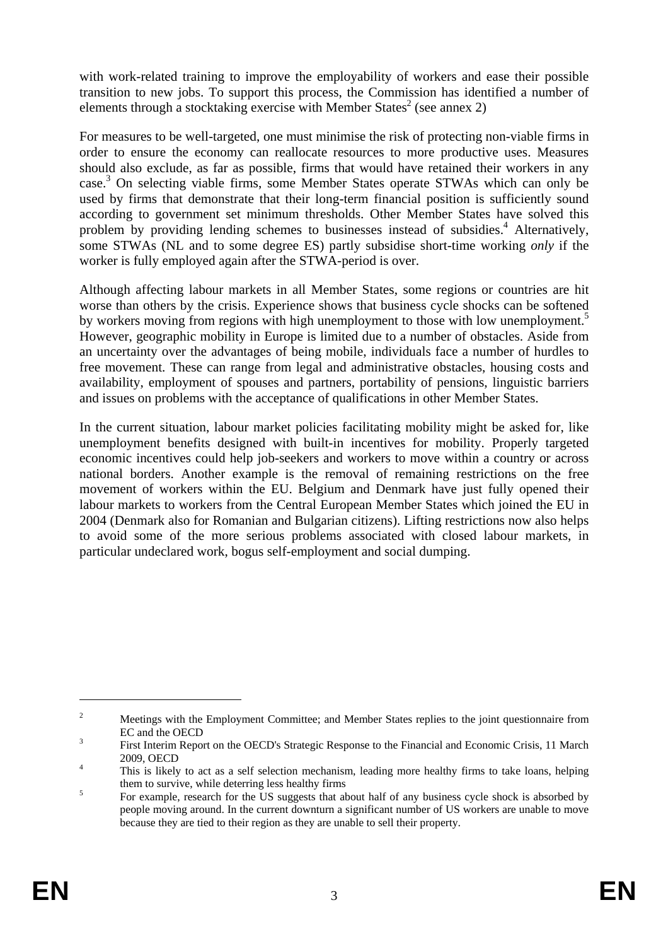with work-related training to improve the employability of workers and ease their possible transition to new jobs. To support this process, the Commission has identified a number of elements through a stocktaking exercise with Member States<sup>2</sup> (see annex 2)

For measures to be well-targeted, one must minimise the risk of protecting non-viable firms in order to ensure the economy can reallocate resources to more productive uses. Measures should also exclude, as far as possible, firms that would have retained their workers in any case.<sup>3</sup> On selecting viable firms, some Member States operate STWAs which can only be used by firms that demonstrate that their long-term financial position is sufficiently sound according to government set minimum thresholds. Other Member States have solved this problem by providing lending schemes to businesses instead of subsidies.<sup>4</sup> Alternatively, some STWAs (NL and to some degree ES) partly subsidise short-time working *only* if the worker is fully employed again after the STWA-period is over.

Although affecting labour markets in all Member States, some regions or countries are hit worse than others by the crisis. Experience shows that business cycle shocks can be softened by workers moving from regions with high unemployment to those with low unemployment.<sup>5</sup> However, geographic mobility in Europe is limited due to a number of obstacles. Aside from an uncertainty over the advantages of being mobile, individuals face a number of hurdles to free movement. These can range from legal and administrative obstacles, housing costs and availability, employment of spouses and partners, portability of pensions, linguistic barriers and issues on problems with the acceptance of qualifications in other Member States.

In the current situation, labour market policies facilitating mobility might be asked for, like unemployment benefits designed with built-in incentives for mobility. Properly targeted economic incentives could help job-seekers and workers to move within a country or across national borders. Another example is the removal of remaining restrictions on the free movement of workers within the EU. Belgium and Denmark have just fully opened their labour markets to workers from the Central European Member States which joined the EU in 2004 (Denmark also for Romanian and Bulgarian citizens). Lifting restrictions now also helps to avoid some of the more serious problems associated with closed labour markets, in particular undeclared work, bogus self-employment and social dumping.

<u>.</u>

 $\overline{2}$  Meetings with the Employment Committee; and Member States replies to the joint questionnaire from  $\text{EC}$  and the OECD

First Interim Report on the OECD's Strategic Response to the Financial and Economic Crisis, 11 March 2009, OECD

This is likely to act as a self selection mechanism, leading more healthy firms to take loans, helping them to survive, while deterring less healthy firms  $\frac{5}{2}$ 

For example, research for the US suggests that about half of any business cycle shock is absorbed by people moving around. In the current downturn a significant number of US workers are unable to move because they are tied to their region as they are unable to sell their property.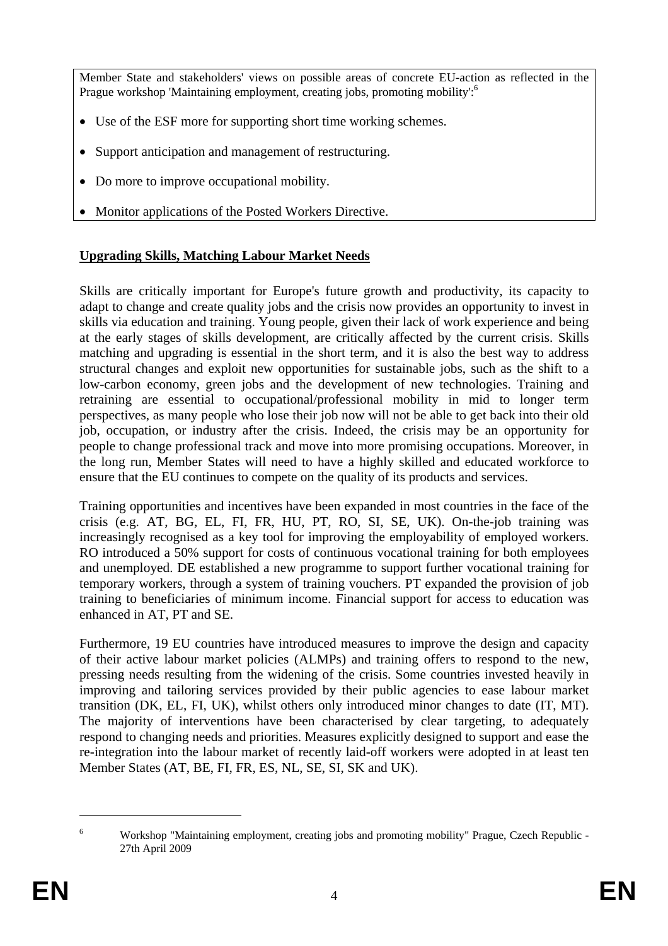Member State and stakeholders' views on possible areas of concrete EU-action as reflected in the Prague workshop 'Maintaining employment, creating jobs, promoting mobility':<sup>6</sup>

- Use of the ESF more for supporting short time working schemes.
- Support anticipation and management of restructuring.
- Do more to improve occupational mobility.
- Monitor applications of the Posted Workers Directive.

# **Upgrading Skills, Matching Labour Market Needs**

Skills are critically important for Europe's future growth and productivity, its capacity to adapt to change and create quality jobs and the crisis now provides an opportunity to invest in skills via education and training. Young people, given their lack of work experience and being at the early stages of skills development, are critically affected by the current crisis. Skills matching and upgrading is essential in the short term, and it is also the best way to address structural changes and exploit new opportunities for sustainable jobs, such as the shift to a low-carbon economy, green jobs and the development of new technologies. Training and retraining are essential to occupational/professional mobility in mid to longer term perspectives, as many people who lose their job now will not be able to get back into their old job, occupation, or industry after the crisis. Indeed, the crisis may be an opportunity for people to change professional track and move into more promising occupations. Moreover, in the long run, Member States will need to have a highly skilled and educated workforce to ensure that the EU continues to compete on the quality of its products and services.

Training opportunities and incentives have been expanded in most countries in the face of the crisis (e.g. AT, BG, EL, FI, FR, HU, PT, RO, SI, SE, UK). On-the-job training was increasingly recognised as a key tool for improving the employability of employed workers. RO introduced a 50% support for costs of continuous vocational training for both employees and unemployed. DE established a new programme to support further vocational training for temporary workers, through a system of training vouchers. PT expanded the provision of job training to beneficiaries of minimum income. Financial support for access to education was enhanced in AT, PT and SE.

Furthermore, 19 EU countries have introduced measures to improve the design and capacity of their active labour market policies (ALMPs) and training offers to respond to the new, pressing needs resulting from the widening of the crisis. Some countries invested heavily in improving and tailoring services provided by their public agencies to ease labour market transition (DK, EL, FI, UK), whilst others only introduced minor changes to date (IT, MT). The majority of interventions have been characterised by clear targeting, to adequately respond to changing needs and priorities. Measures explicitly designed to support and ease the re-integration into the labour market of recently laid-off workers were adopted in at least ten Member States (AT, BE, FI, FR, ES, NL, SE, SI, SK and UK).

 $\overline{a}$ 

<sup>6</sup> Workshop "Maintaining employment, creating jobs and promoting mobility" Prague, Czech Republic - 27th April 2009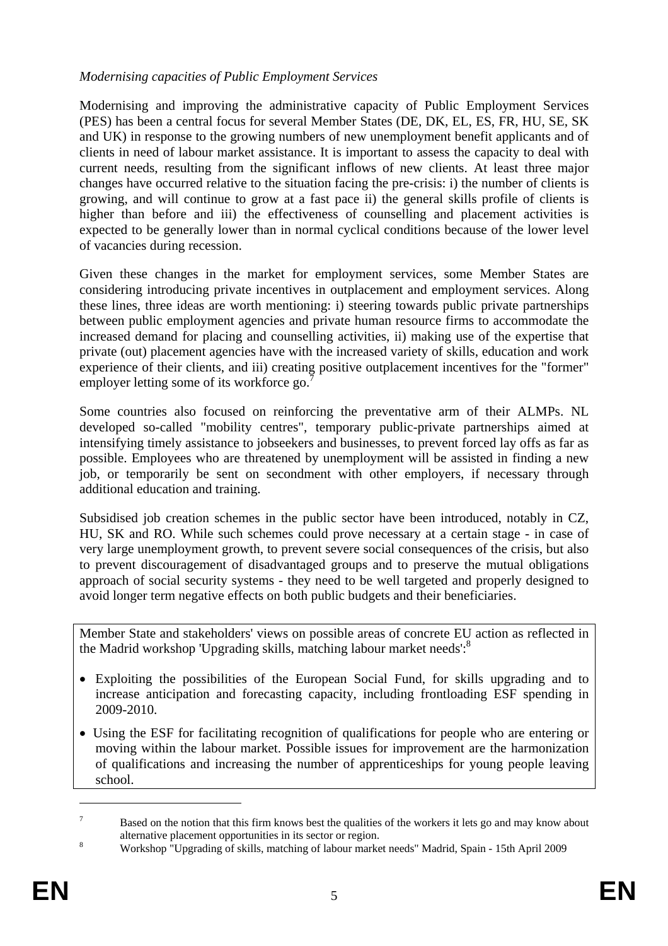#### *Modernising capacities of Public Employment Services*

Modernising and improving the administrative capacity of Public Employment Services (PES) has been a central focus for several Member States (DE, DK, EL, ES, FR, HU, SE, SK and UK) in response to the growing numbers of new unemployment benefit applicants and of clients in need of labour market assistance. It is important to assess the capacity to deal with current needs, resulting from the significant inflows of new clients. At least three major changes have occurred relative to the situation facing the pre-crisis: i) the number of clients is growing, and will continue to grow at a fast pace ii) the general skills profile of clients is higher than before and iii) the effectiveness of counselling and placement activities is expected to be generally lower than in normal cyclical conditions because of the lower level of vacancies during recession.

Given these changes in the market for employment services, some Member States are considering introducing private incentives in outplacement and employment services. Along these lines, three ideas are worth mentioning: i) steering towards public private partnerships between public employment agencies and private human resource firms to accommodate the increased demand for placing and counselling activities, ii) making use of the expertise that private (out) placement agencies have with the increased variety of skills, education and work experience of their clients, and iii) creating positive outplacement incentives for the "former" employer letting some of its workforce go.<sup>7</sup>

Some countries also focused on reinforcing the preventative arm of their ALMPs. NL developed so-called "mobility centres", temporary public-private partnerships aimed at intensifying timely assistance to jobseekers and businesses, to prevent forced lay offs as far as possible. Employees who are threatened by unemployment will be assisted in finding a new job, or temporarily be sent on secondment with other employers, if necessary through additional education and training.

Subsidised job creation schemes in the public sector have been introduced, notably in CZ, HU, SK and RO. While such schemes could prove necessary at a certain stage - in case of very large unemployment growth, to prevent severe social consequences of the crisis, but also to prevent discouragement of disadvantaged groups and to preserve the mutual obligations approach of social security systems - they need to be well targeted and properly designed to avoid longer term negative effects on both public budgets and their beneficiaries.

Member State and stakeholders' views on possible areas of concrete EU action as reflected in the Madrid workshop 'Upgrading skills, matching labour market needs':<sup>8</sup>

- Exploiting the possibilities of the European Social Fund, for skills upgrading and to increase anticipation and forecasting capacity, including frontloading ESF spending in 2009-2010.
- Using the ESF for facilitating recognition of qualifications for people who are entering or moving within the labour market. Possible issues for improvement are the harmonization of qualifications and increasing the number of apprenticeships for young people leaving school.

1

<sup>7</sup> Based on the notion that this firm knows best the qualities of the workers it lets go and may know about alternative placement opportunities in its sector or region.

Workshop "Upgrading of skills, matching of labour market needs" Madrid, Spain - 15th April 2009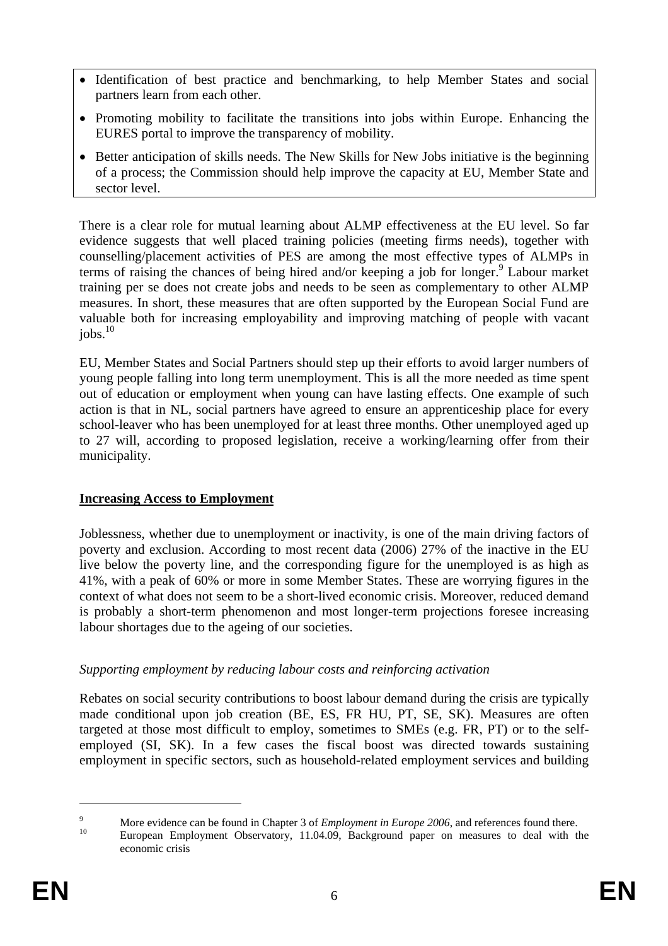- Identification of best practice and benchmarking, to help Member States and social partners learn from each other.
- Promoting mobility to facilitate the transitions into jobs within Europe. Enhancing the EURES portal to improve the transparency of mobility.
- Better anticipation of skills needs. The New Skills for New Jobs initiative is the beginning of a process; the Commission should help improve the capacity at EU, Member State and sector level.

There is a clear role for mutual learning about ALMP effectiveness at the EU level. So far evidence suggests that well placed training policies (meeting firms needs), together with counselling/placement activities of PES are among the most effective types of ALMPs in terms of raising the chances of being hired and/or keeping a job for longer.<sup>9</sup> Labour market training per se does not create jobs and needs to be seen as complementary to other ALMP measures. In short, these measures that are often supported by the European Social Fund are valuable both for increasing employability and improving matching of people with vacant  $jobs.<sup>10</sup>$ 

EU, Member States and Social Partners should step up their efforts to avoid larger numbers of young people falling into long term unemployment. This is all the more needed as time spent out of education or employment when young can have lasting effects. One example of such action is that in NL, social partners have agreed to ensure an apprenticeship place for every school-leaver who has been unemployed for at least three months. Other unemployed aged up to 27 will, according to proposed legislation, receive a working/learning offer from their municipality.

# **Increasing Access to Employment**

Joblessness, whether due to unemployment or inactivity, is one of the main driving factors of poverty and exclusion. According to most recent data (2006) 27% of the inactive in the EU live below the poverty line, and the corresponding figure for the unemployed is as high as 41%, with a peak of 60% or more in some Member States. These are worrying figures in the context of what does not seem to be a short-lived economic crisis. Moreover, reduced demand is probably a short-term phenomenon and most longer-term projections foresee increasing labour shortages due to the ageing of our societies.

#### *Supporting employment by reducing labour costs and reinforcing activation*

Rebates on social security contributions to boost labour demand during the crisis are typically made conditional upon job creation (BE, ES, FR HU, PT, SE, SK). Measures are often targeted at those most difficult to employ, sometimes to SMEs (e.g. FR, PT) or to the selfemployed (SI, SK). In a few cases the fiscal boost was directed towards sustaining employment in specific sectors, such as household-related employment services and building

1

 $\overline{Q}$ More evidence can be found in Chapter 3 of *Employment in Europe 2006*, and references found there.<br><sup>10</sup> European Employment Observatory, 11.04.09, Background paper on measures to deal with the

economic crisis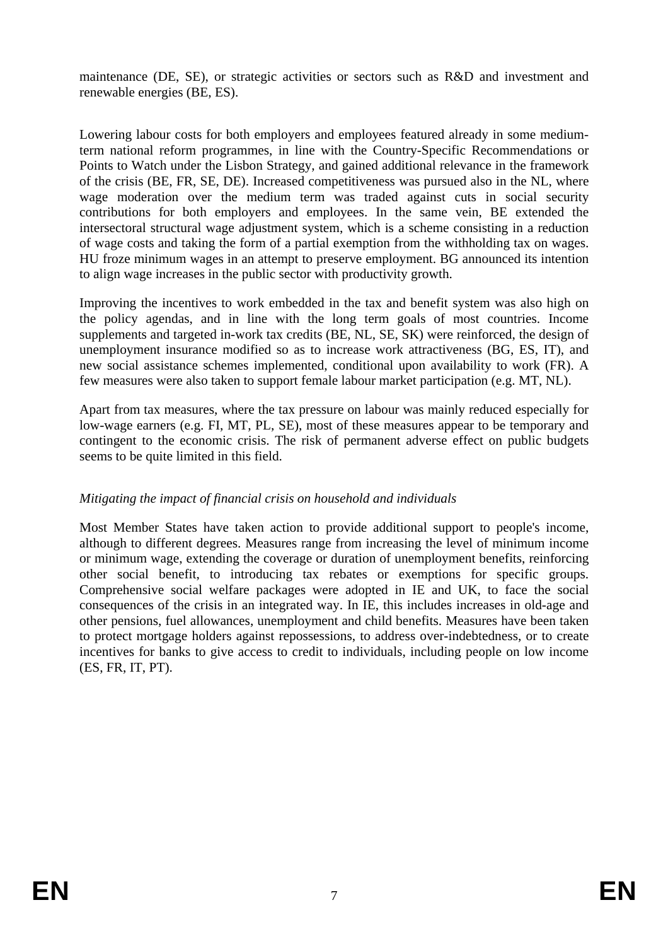maintenance (DE, SE), or strategic activities or sectors such as R&D and investment and renewable energies (BE, ES).

Lowering labour costs for both employers and employees featured already in some mediumterm national reform programmes, in line with the Country-Specific Recommendations or Points to Watch under the Lisbon Strategy, and gained additional relevance in the framework of the crisis (BE, FR, SE, DE). Increased competitiveness was pursued also in the NL, where wage moderation over the medium term was traded against cuts in social security contributions for both employers and employees. In the same vein, BE extended the intersectoral structural wage adjustment system, which is a scheme consisting in a reduction of wage costs and taking the form of a partial exemption from the withholding tax on wages. HU froze minimum wages in an attempt to preserve employment. BG announced its intention to align wage increases in the public sector with productivity growth.

Improving the incentives to work embedded in the tax and benefit system was also high on the policy agendas, and in line with the long term goals of most countries. Income supplements and targeted in-work tax credits (BE, NL, SE, SK) were reinforced, the design of unemployment insurance modified so as to increase work attractiveness (BG, ES, IT), and new social assistance schemes implemented, conditional upon availability to work (FR). A few measures were also taken to support female labour market participation (e.g. MT, NL).

Apart from tax measures, where the tax pressure on labour was mainly reduced especially for low-wage earners (e.g. FI, MT, PL, SE), most of these measures appear to be temporary and contingent to the economic crisis. The risk of permanent adverse effect on public budgets seems to be quite limited in this field.

#### *Mitigating the impact of financial crisis on household and individuals*

Most Member States have taken action to provide additional support to people's income, although to different degrees. Measures range from increasing the level of minimum income or minimum wage, extending the coverage or duration of unemployment benefits, reinforcing other social benefit, to introducing tax rebates or exemptions for specific groups. Comprehensive social welfare packages were adopted in IE and UK, to face the social consequences of the crisis in an integrated way. In IE, this includes increases in old-age and other pensions, fuel allowances, unemployment and child benefits. Measures have been taken to protect mortgage holders against repossessions, to address over-indebtedness, or to create incentives for banks to give access to credit to individuals, including people on low income (ES, FR, IT, PT).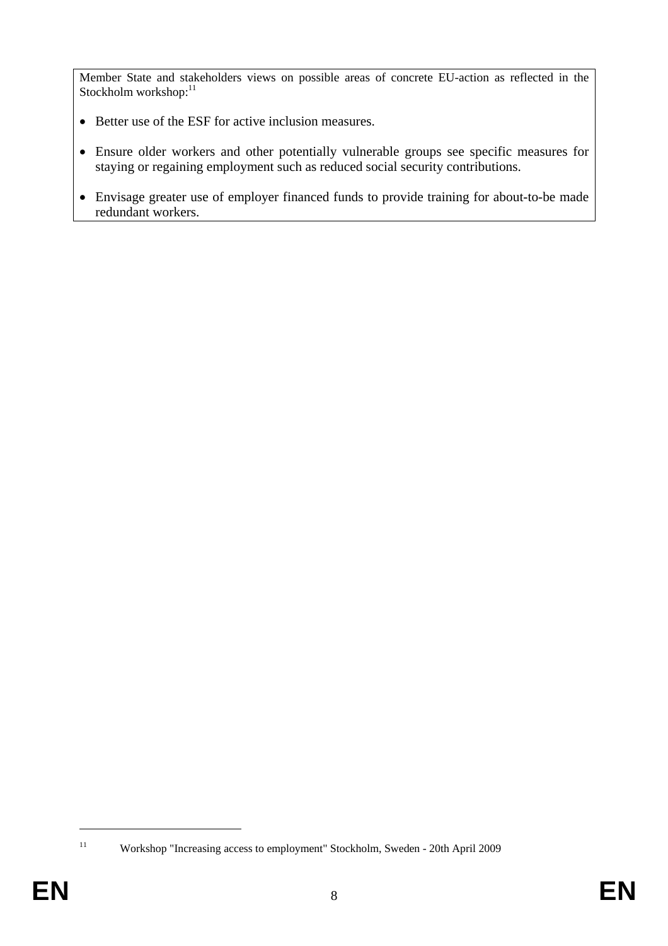Member State and stakeholders views on possible areas of concrete EU-action as reflected in the Stockholm workshop:<sup>11</sup>

- Better use of the ESF for active inclusion measures.
- Ensure older workers and other potentially vulnerable groups see specific measures for staying or regaining employment such as reduced social security contributions.
- Envisage greater use of employer financed funds to provide training for about-to-be made redundant workers.

<sup>1</sup> 

<sup>11</sup> Workshop "Increasing access to employment" Stockholm, Sweden - 20th April 2009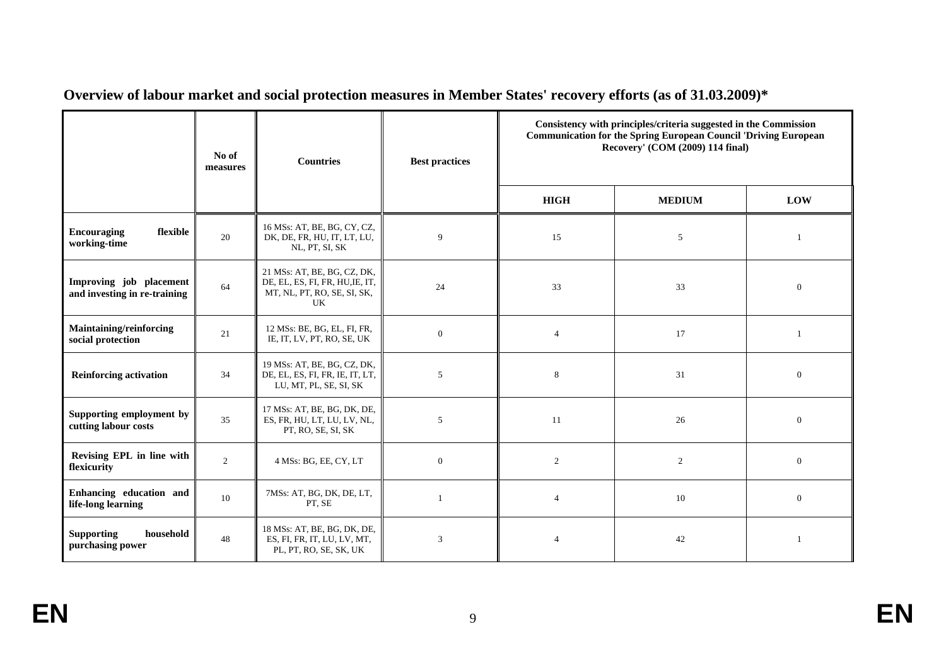|                                                         | No of<br>measures | <b>Countries</b>                                                                                    | <b>Best practices</b> | Consistency with principles/criteria suggested in the Commission<br><b>Communication for the Spring European Council 'Driving European</b><br>Recovery' $(COM(2009) 114 final)$ |                |                |
|---------------------------------------------------------|-------------------|-----------------------------------------------------------------------------------------------------|-----------------------|---------------------------------------------------------------------------------------------------------------------------------------------------------------------------------|----------------|----------------|
|                                                         |                   |                                                                                                     |                       | <b>HIGH</b>                                                                                                                                                                     | <b>MEDIUM</b>  | LOW            |
| <b>Encouraging</b><br>flexible<br>working-time          | 20                | 16 MSs: AT, BE, BG, CY, CZ,<br>DK, DE, FR, HU, IT, LT, LU,<br>NL, PT, SI, SK                        | 9                     | 15                                                                                                                                                                              | 5              | $\overline{1}$ |
| Improving job placement<br>and investing in re-training | 64                | 21 MSs: AT, BE, BG, CZ, DK,<br>DE, EL, ES, FI, FR, HU, IE, IT,<br>MT, NL, PT, RO, SE, SI, SK,<br>UK | 24                    | 33                                                                                                                                                                              | 33             | $\overline{0}$ |
| Maintaining/reinforcing<br>social protection            | 21                | 12 MSs: BE, BG, EL, FI, FR,<br>IE, IT, LV, PT, RO, SE, UK                                           | $\mathbf{0}$          | $\overline{4}$                                                                                                                                                                  | 17             | $\overline{1}$ |
| <b>Reinforcing activation</b>                           | 34                | 19 MSs: AT, BE, BG, CZ, DK,<br>DE, EL, ES, FI, FR, IE, IT, LT,<br>LU, MT, PL, SE, SI, SK            | 5                     | 8                                                                                                                                                                               | 31             | $\overline{0}$ |
| Supporting employment by<br>cutting labour costs        | 35                | 17 MSs: AT, BE, BG, DK, DE,<br>ES, FR, HU, LT, LU, LV, NL,<br>PT, RO, SE, SI, SK                    | 5                     | 11                                                                                                                                                                              | 26             | $\overline{0}$ |
| Revising EPL in line with<br>flexicurity                | $\overline{c}$    | 4 MSs: BG, EE, CY, LT                                                                               | $\mathbf{0}$          | $\overline{2}$                                                                                                                                                                  | $\overline{c}$ | $\overline{0}$ |
| Enhancing education and<br>life-long learning           | 10                | 7MSs: AT, BG, DK, DE, LT,<br>PT, SE                                                                 | $\overline{1}$        | $\overline{4}$                                                                                                                                                                  | 10             | $\overline{0}$ |
| <b>Supporting</b><br>household<br>purchasing power      | 48                | 18 MSs: AT, BE, BG, DK, DE,<br>ES, FI, FR, IT, LU, LV, MT,<br>PL, PT, RO, SE, SK, UK                | 3                     | $\overline{4}$                                                                                                                                                                  | 42             | $\mathbf{1}$   |

**Overview of labour market and social protection measures in Member States' recovery efforts (as of 31.03.2009)\***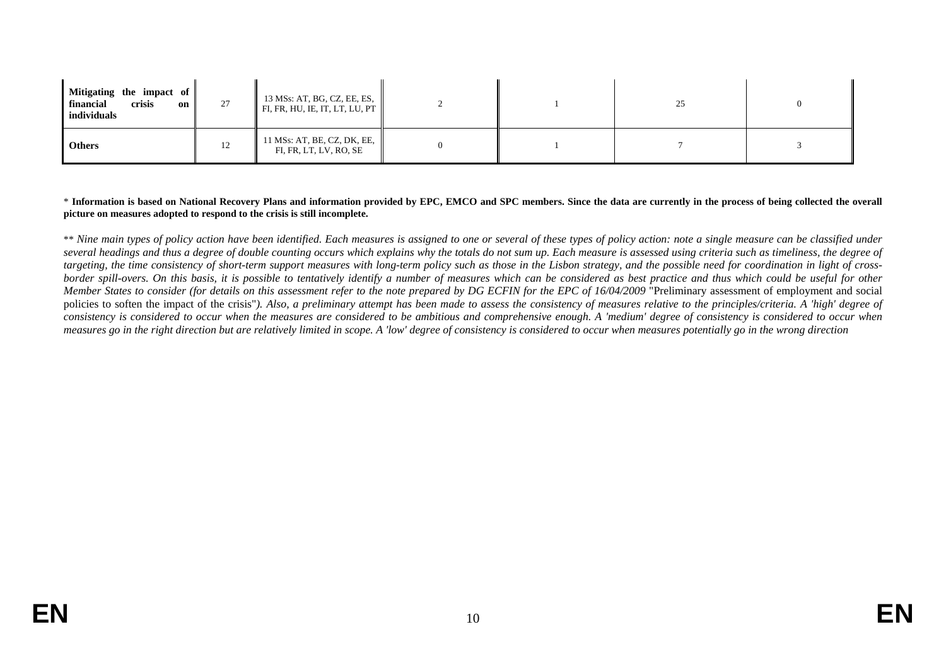| Mitigating the impact of $\parallel$<br>financial<br>crisis<br>$\Omega$ on $\blacksquare$<br>individuals | 27 | 13 MSs: AT, BG, CZ, EE, ES,<br>FI, FR, HU, IE, IT, LT, LU, PT |  | 25 | $\Omega$ |
|----------------------------------------------------------------------------------------------------------|----|---------------------------------------------------------------|--|----|----------|
| <b>Others</b>                                                                                            | 12 | 11 MSs: AT, BE, CZ, DK, EE,<br>FI, FR, LT, LV, RO, SE         |  |    |          |

#### \* **Information is based on National Recovery Plans and information provided by EPC, EMCO and SPC members. Since the data are currently in the process of being collected the overall picture on measures adopted to respond to the crisis is still incomplete.**

\*\* Nine main types of policy action have been identified. Each measures is assigned to one or several of these types of policy action: note a single measure can be classified under several headings and thus a degree of double counting occurs which explains why the totals do not sum up. Each measure is assessed using criteria such as timeliness, the degree of *targeting, the time consistency of short-term support measures with long-term policy such as those in the Lisbon strategy, and the possible need for coordination in light of crossborder spill-overs. On this basis, it is possible to tentatively identify a number of measures which can be considered as best practice and thus which could be useful for other Member States to consider (for details on this assessment refer to the note prepared by DG ECFIN for the EPC of 16/04/2009* "Preliminary assessment of employment and social policies to soften the impact of the crisis"). Also, a preliminary attempt has been made to assess the consistency of measures relative to the principles/criteria. A 'high' degree of *consistency is considered to occur when the measures are considered to be ambitious and comprehensive enough. A 'medium' degree of consistency is considered to occur when measures go in the right direction but are relatively limited in scope. A 'low' degree of consistency is considered to occur when measures potentially go in the wrong direction*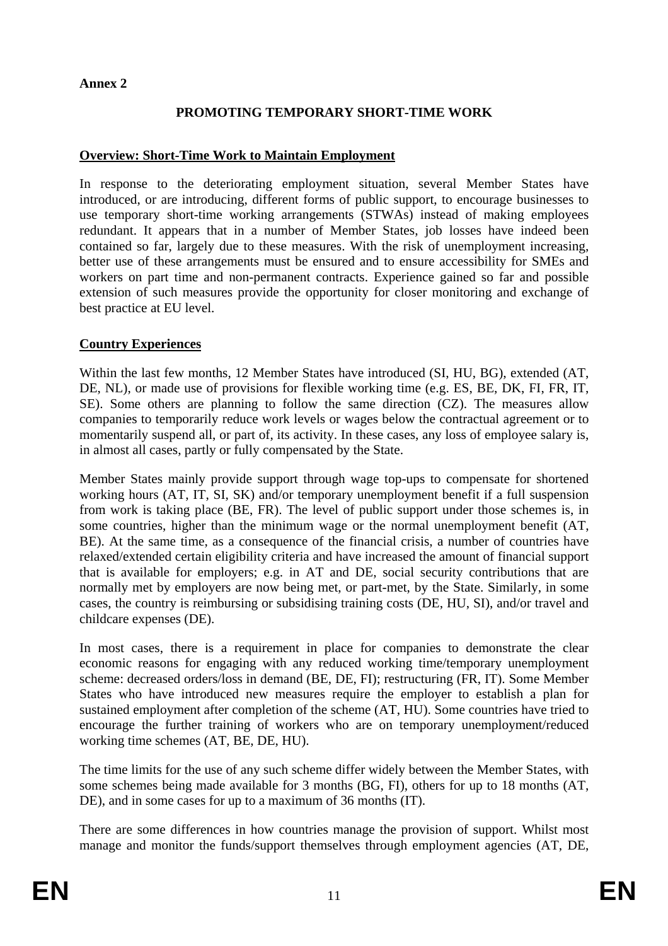#### **Annex 2**

# **PROMOTING TEMPORARY SHORT-TIME WORK**

#### **Overview: Short-Time Work to Maintain Employment**

In response to the deteriorating employment situation, several Member States have introduced, or are introducing, different forms of public support, to encourage businesses to use temporary short-time working arrangements (STWAs) instead of making employees redundant. It appears that in a number of Member States, job losses have indeed been contained so far, largely due to these measures. With the risk of unemployment increasing, better use of these arrangements must be ensured and to ensure accessibility for SMEs and workers on part time and non-permanent contracts. Experience gained so far and possible extension of such measures provide the opportunity for closer monitoring and exchange of best practice at EU level.

#### **Country Experiences**

Within the last few months, 12 Member States have introduced (SI, HU, BG), extended (AT, DE, NL), or made use of provisions for flexible working time (e.g. ES, BE, DK, FI, FR, IT, SE). Some others are planning to follow the same direction (CZ). The measures allow companies to temporarily reduce work levels or wages below the contractual agreement or to momentarily suspend all, or part of, its activity. In these cases, any loss of employee salary is, in almost all cases, partly or fully compensated by the State.

Member States mainly provide support through wage top-ups to compensate for shortened working hours (AT, IT, SI, SK) and/or temporary unemployment benefit if a full suspension from work is taking place (BE, FR). The level of public support under those schemes is, in some countries, higher than the minimum wage or the normal unemployment benefit (AT, BE). At the same time, as a consequence of the financial crisis, a number of countries have relaxed/extended certain eligibility criteria and have increased the amount of financial support that is available for employers; e.g. in AT and DE, social security contributions that are normally met by employers are now being met, or part-met, by the State. Similarly, in some cases, the country is reimbursing or subsidising training costs (DE, HU, SI), and/or travel and childcare expenses (DE).

In most cases, there is a requirement in place for companies to demonstrate the clear economic reasons for engaging with any reduced working time/temporary unemployment scheme: decreased orders/loss in demand (BE, DE, FI); restructuring (FR, IT). Some Member States who have introduced new measures require the employer to establish a plan for sustained employment after completion of the scheme (AT, HU). Some countries have tried to encourage the further training of workers who are on temporary unemployment/reduced working time schemes (AT, BE, DE, HU).

The time limits for the use of any such scheme differ widely between the Member States, with some schemes being made available for 3 months (BG, FI), others for up to 18 months (AT, DE), and in some cases for up to a maximum of 36 months (IT).

There are some differences in how countries manage the provision of support. Whilst most manage and monitor the funds/support themselves through employment agencies (AT, DE,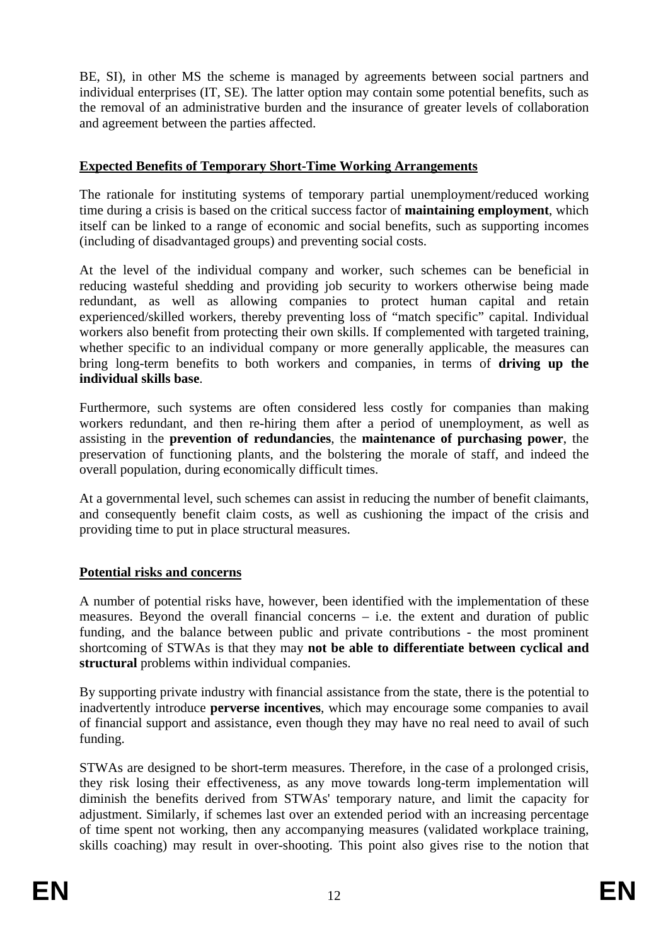BE, SI), in other MS the scheme is managed by agreements between social partners and individual enterprises (IT, SE). The latter option may contain some potential benefits, such as the removal of an administrative burden and the insurance of greater levels of collaboration and agreement between the parties affected.

#### **Expected Benefits of Temporary Short-Time Working Arrangements**

The rationale for instituting systems of temporary partial unemployment/reduced working time during a crisis is based on the critical success factor of **maintaining employment**, which itself can be linked to a range of economic and social benefits, such as supporting incomes (including of disadvantaged groups) and preventing social costs.

At the level of the individual company and worker, such schemes can be beneficial in reducing wasteful shedding and providing job security to workers otherwise being made redundant, as well as allowing companies to protect human capital and retain experienced/skilled workers, thereby preventing loss of "match specific" capital. Individual workers also benefit from protecting their own skills. If complemented with targeted training, whether specific to an individual company or more generally applicable, the measures can bring long-term benefits to both workers and companies, in terms of **driving up the individual skills base**.

Furthermore, such systems are often considered less costly for companies than making workers redundant, and then re-hiring them after a period of unemployment, as well as assisting in the **prevention of redundancies**, the **maintenance of purchasing power**, the preservation of functioning plants, and the bolstering the morale of staff, and indeed the overall population, during economically difficult times.

At a governmental level, such schemes can assist in reducing the number of benefit claimants, and consequently benefit claim costs, as well as cushioning the impact of the crisis and providing time to put in place structural measures.

# **Potential risks and concerns**

A number of potential risks have, however, been identified with the implementation of these measures. Beyond the overall financial concerns – i.e. the extent and duration of public funding, and the balance between public and private contributions - the most prominent shortcoming of STWAs is that they may **not be able to differentiate between cyclical and structural** problems within individual companies.

By supporting private industry with financial assistance from the state, there is the potential to inadvertently introduce **perverse incentives**, which may encourage some companies to avail of financial support and assistance, even though they may have no real need to avail of such funding.

STWAs are designed to be short-term measures. Therefore, in the case of a prolonged crisis, they risk losing their effectiveness, as any move towards long-term implementation will diminish the benefits derived from STWAs' temporary nature, and limit the capacity for adjustment. Similarly, if schemes last over an extended period with an increasing percentage of time spent not working, then any accompanying measures (validated workplace training, skills coaching) may result in over-shooting. This point also gives rise to the notion that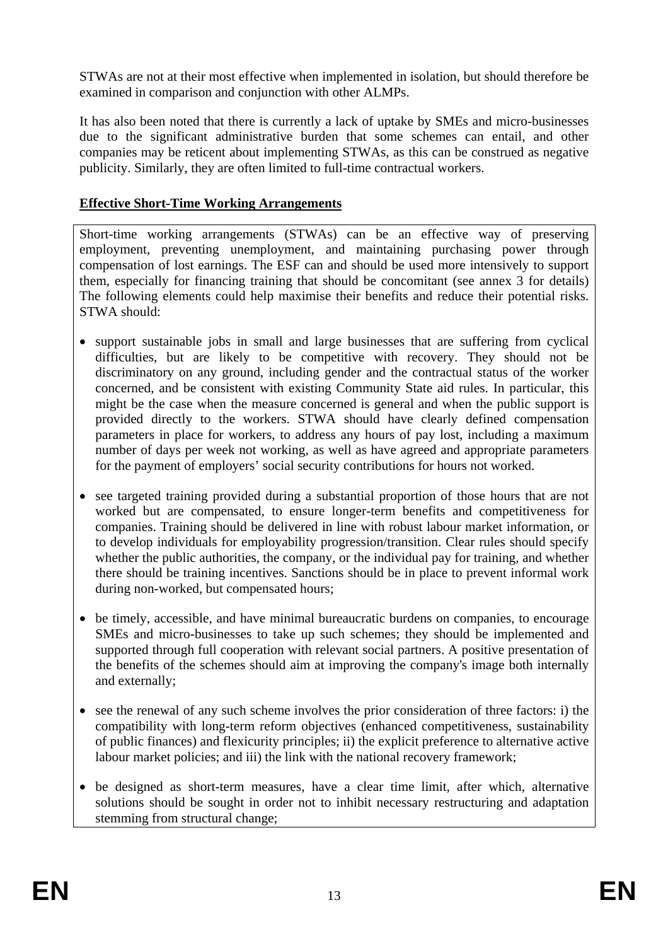STWAs are not at their most effective when implemented in isolation, but should therefore be examined in comparison and conjunction with other ALMPs.

It has also been noted that there is currently a lack of uptake by SMEs and micro-businesses due to the significant administrative burden that some schemes can entail, and other companies may be reticent about implementing STWAs, as this can be construed as negative publicity. Similarly, they are often limited to full-time contractual workers.

# **Effective Short-Time Working Arrangements**

Short-time working arrangements (STWAs) can be an effective way of preserving employment, preventing unemployment, and maintaining purchasing power through compensation of lost earnings. The ESF can and should be used more intensively to support them, especially for financing training that should be concomitant (see annex 3 for details) The following elements could help maximise their benefits and reduce their potential risks. STWA should:

- support sustainable jobs in small and large businesses that are suffering from cyclical difficulties, but are likely to be competitive with recovery. They should not be discriminatory on any ground, including gender and the contractual status of the worker concerned, and be consistent with existing Community State aid rules. In particular, this might be the case when the measure concerned is general and when the public support is provided directly to the workers. STWA should have clearly defined compensation parameters in place for workers, to address any hours of pay lost, including a maximum number of days per week not working, as well as have agreed and appropriate parameters for the payment of employers' social security contributions for hours not worked.
- see targeted training provided during a substantial proportion of those hours that are not worked but are compensated, to ensure longer-term benefits and competitiveness for companies. Training should be delivered in line with robust labour market information, or to develop individuals for employability progression/transition. Clear rules should specify whether the public authorities, the company, or the individual pay for training, and whether there should be training incentives. Sanctions should be in place to prevent informal work during non-worked, but compensated hours;
- be timely, accessible, and have minimal bureaucratic burdens on companies, to encourage SMEs and micro-businesses to take up such schemes; they should be implemented and supported through full cooperation with relevant social partners. A positive presentation of the benefits of the schemes should aim at improving the company's image both internally and externally;
- see the renewal of any such scheme involves the prior consideration of three factors: i) the compatibility with long-term reform objectives (enhanced competitiveness, sustainability of public finances) and flexicurity principles; ii) the explicit preference to alternative active labour market policies; and iii) the link with the national recovery framework;
- be designed as short-term measures, have a clear time limit, after which, alternative solutions should be sought in order not to inhibit necessary restructuring and adaptation stemming from structural change;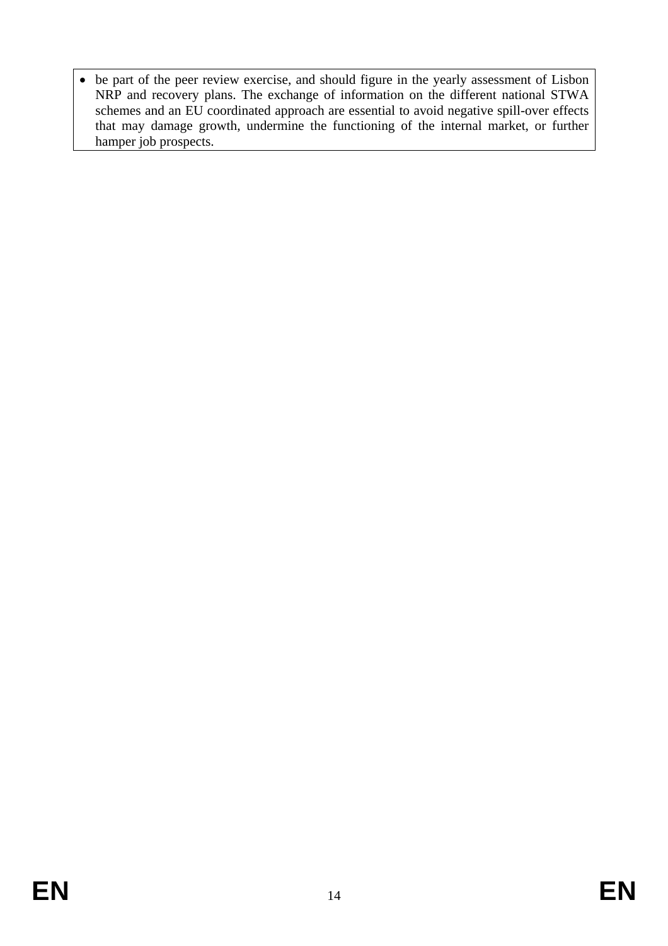• be part of the peer review exercise, and should figure in the yearly assessment of Lisbon NRP and recovery plans. The exchange of information on the different national STWA schemes and an EU coordinated approach are essential to avoid negative spill-over effects that may damage growth, undermine the functioning of the internal market, or further hamper job prospects.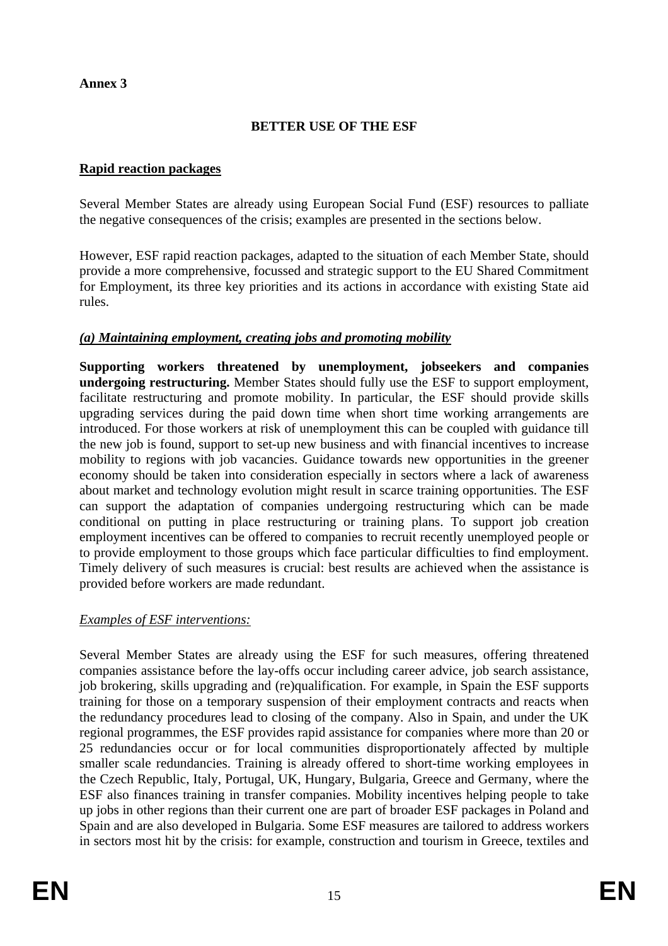#### **Annex 3**

# **BETTER USE OF THE ESF**

#### **Rapid reaction packages**

Several Member States are already using European Social Fund (ESF) resources to palliate the negative consequences of the crisis; examples are presented in the sections below.

However, ESF rapid reaction packages, adapted to the situation of each Member State, should provide a more comprehensive, focussed and strategic support to the EU Shared Commitment for Employment, its three key priorities and its actions in accordance with existing State aid rules.

# *(a) Maintaining employment, creating jobs and promoting mobility*

**Supporting workers threatened by unemployment, jobseekers and companies undergoing restructuring.** Member States should fully use the ESF to support employment, facilitate restructuring and promote mobility. In particular, the ESF should provide skills upgrading services during the paid down time when short time working arrangements are introduced. For those workers at risk of unemployment this can be coupled with guidance till the new job is found, support to set-up new business and with financial incentives to increase mobility to regions with job vacancies. Guidance towards new opportunities in the greener economy should be taken into consideration especially in sectors where a lack of awareness about market and technology evolution might result in scarce training opportunities. The ESF can support the adaptation of companies undergoing restructuring which can be made conditional on putting in place restructuring or training plans. To support job creation employment incentives can be offered to companies to recruit recently unemployed people or to provide employment to those groups which face particular difficulties to find employment. Timely delivery of such measures is crucial: best results are achieved when the assistance is provided before workers are made redundant.

# *Examples of ESF interventions:*

Several Member States are already using the ESF for such measures, offering threatened companies assistance before the lay-offs occur including career advice, job search assistance, job brokering, skills upgrading and (re)qualification. For example, in Spain the ESF supports training for those on a temporary suspension of their employment contracts and reacts when the redundancy procedures lead to closing of the company. Also in Spain, and under the UK regional programmes, the ESF provides rapid assistance for companies where more than 20 or 25 redundancies occur or for local communities disproportionately affected by multiple smaller scale redundancies. Training is already offered to short-time working employees in the Czech Republic, Italy, Portugal, UK, Hungary, Bulgaria, Greece and Germany, where the ESF also finances training in transfer companies. Mobility incentives helping people to take up jobs in other regions than their current one are part of broader ESF packages in Poland and Spain and are also developed in Bulgaria. Some ESF measures are tailored to address workers in sectors most hit by the crisis: for example, construction and tourism in Greece, textiles and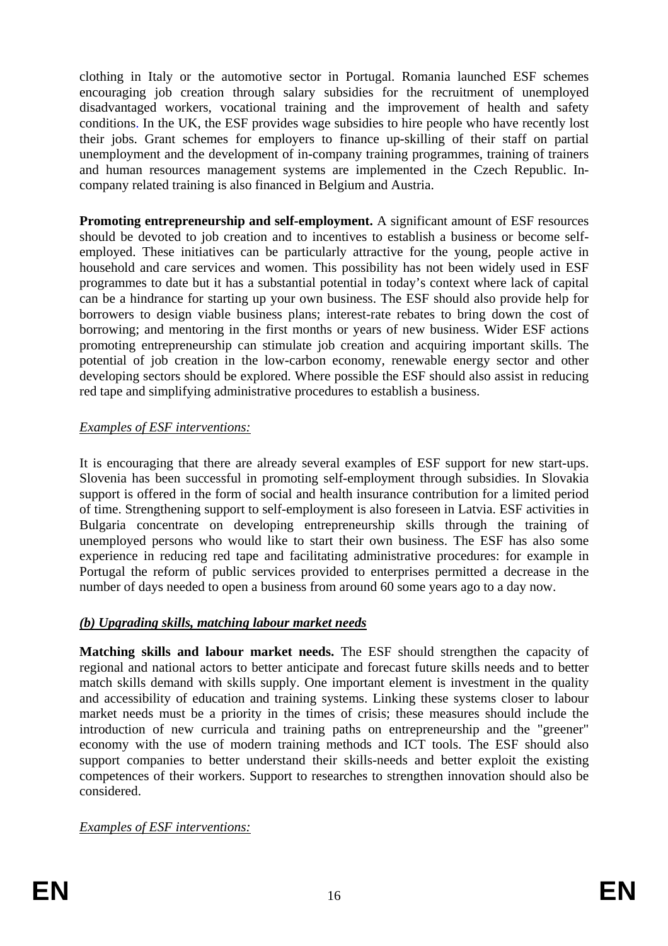clothing in Italy or the automotive sector in Portugal. Romania launched ESF schemes encouraging job creation through salary subsidies for the recruitment of unemployed disadvantaged workers, vocational training and the improvement of health and safety conditions. In the UK, the ESF provides wage subsidies to hire people who have recently lost their jobs. Grant schemes for employers to finance up-skilling of their staff on partial unemployment and the development of in-company training programmes, training of trainers and human resources management systems are implemented in the Czech Republic. Incompany related training is also financed in Belgium and Austria.

**Promoting entrepreneurship and self-employment.** A significant amount of ESF resources should be devoted to job creation and to incentives to establish a business or become selfemployed. These initiatives can be particularly attractive for the young, people active in household and care services and women. This possibility has not been widely used in ESF programmes to date but it has a substantial potential in today's context where lack of capital can be a hindrance for starting up your own business. The ESF should also provide help for borrowers to design viable business plans; interest-rate rebates to bring down the cost of borrowing; and mentoring in the first months or years of new business. Wider ESF actions promoting entrepreneurship can stimulate job creation and acquiring important skills. The potential of job creation in the low-carbon economy, renewable energy sector and other developing sectors should be explored. Where possible the ESF should also assist in reducing red tape and simplifying administrative procedures to establish a business.

# *Examples of ESF interventions:*

It is encouraging that there are already several examples of ESF support for new start-ups. Slovenia has been successful in promoting self-employment through subsidies. In Slovakia support is offered in the form of social and health insurance contribution for a limited period of time. Strengthening support to self-employment is also foreseen in Latvia. ESF activities in Bulgaria concentrate on developing entrepreneurship skills through the training of unemployed persons who would like to start their own business. The ESF has also some experience in reducing red tape and facilitating administrative procedures: for example in Portugal the reform of public services provided to enterprises permitted a decrease in the number of days needed to open a business from around 60 some years ago to a day now.

# *(b) Upgrading skills, matching labour market needs*

**Matching skills and labour market needs.** The ESF should strengthen the capacity of regional and national actors to better anticipate and forecast future skills needs and to better match skills demand with skills supply. One important element is investment in the quality and accessibility of education and training systems. Linking these systems closer to labour market needs must be a priority in the times of crisis; these measures should include the introduction of new curricula and training paths on entrepreneurship and the "greener" economy with the use of modern training methods and ICT tools. The ESF should also support companies to better understand their skills-needs and better exploit the existing competences of their workers. Support to researches to strengthen innovation should also be considered.

# *Examples of ESF interventions:*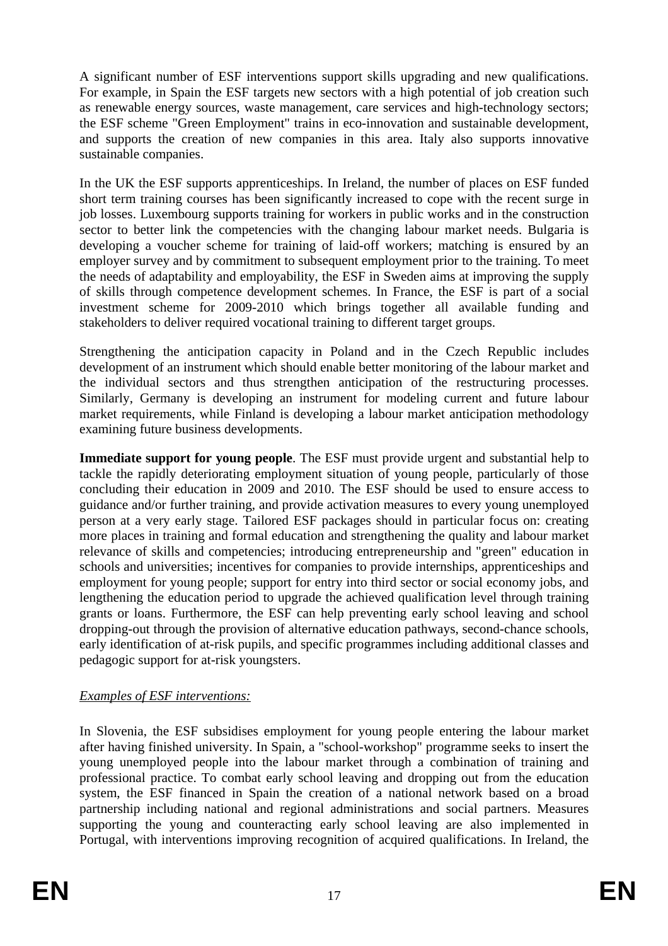A significant number of ESF interventions support skills upgrading and new qualifications. For example, in Spain the ESF targets new sectors with a high potential of job creation such as renewable energy sources, waste management, care services and high-technology sectors; the ESF scheme "Green Employment" trains in eco-innovation and sustainable development, and supports the creation of new companies in this area. Italy also supports innovative sustainable companies.

In the UK the ESF supports apprenticeships. In Ireland, the number of places on ESF funded short term training courses has been significantly increased to cope with the recent surge in job losses. Luxembourg supports training for workers in public works and in the construction sector to better link the competencies with the changing labour market needs. Bulgaria is developing a voucher scheme for training of laid-off workers; matching is ensured by an employer survey and by commitment to subsequent employment prior to the training. To meet the needs of adaptability and employability, the ESF in Sweden aims at improving the supply of skills through competence development schemes. In France, the ESF is part of a social investment scheme for 2009-2010 which brings together all available funding and stakeholders to deliver required vocational training to different target groups.

Strengthening the anticipation capacity in Poland and in the Czech Republic includes development of an instrument which should enable better monitoring of the labour market and the individual sectors and thus strengthen anticipation of the restructuring processes. Similarly, Germany is developing an instrument for modeling current and future labour market requirements, while Finland is developing a labour market anticipation methodology examining future business developments.

**Immediate support for young people**. The ESF must provide urgent and substantial help to tackle the rapidly deteriorating employment situation of young people, particularly of those concluding their education in 2009 and 2010. The ESF should be used to ensure access to guidance and/or further training, and provide activation measures to every young unemployed person at a very early stage. Tailored ESF packages should in particular focus on: creating more places in training and formal education and strengthening the quality and labour market relevance of skills and competencies; introducing entrepreneurship and "green" education in schools and universities; incentives for companies to provide internships, apprenticeships and employment for young people; support for entry into third sector or social economy jobs, and lengthening the education period to upgrade the achieved qualification level through training grants or loans. Furthermore, the ESF can help preventing early school leaving and school dropping-out through the provision of alternative education pathways, second-chance schools, early identification of at-risk pupils, and specific programmes including additional classes and pedagogic support for at-risk youngsters.

# *Examples of ESF interventions:*

In Slovenia, the ESF subsidises employment for young people entering the labour market after having finished university. In Spain, a "school-workshop" programme seeks to insert the young unemployed people into the labour market through a combination of training and professional practice. To combat early school leaving and dropping out from the education system, the ESF financed in Spain the creation of a national network based on a broad partnership including national and regional administrations and social partners. Measures supporting the young and counteracting early school leaving are also implemented in Portugal, with interventions improving recognition of acquired qualifications. In Ireland, the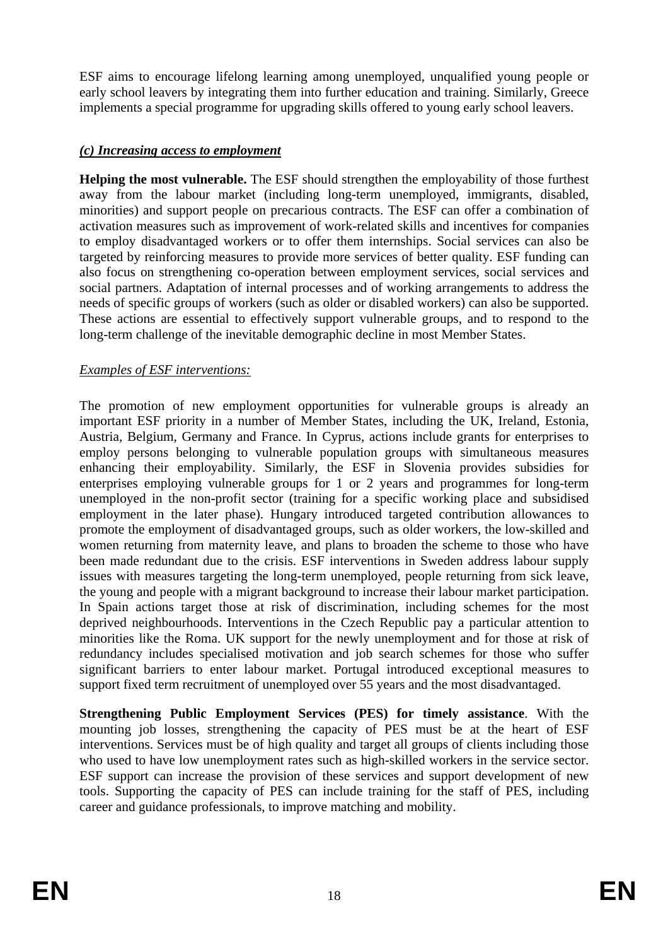ESF aims to encourage lifelong learning among unemployed, unqualified young people or early school leavers by integrating them into further education and training. Similarly, Greece implements a special programme for upgrading skills offered to young early school leavers.

# *(c) Increasing access to employment*

**Helping the most vulnerable.** The ESF should strengthen the employability of those furthest away from the labour market (including long-term unemployed, immigrants, disabled, minorities) and support people on precarious contracts. The ESF can offer a combination of activation measures such as improvement of work-related skills and incentives for companies to employ disadvantaged workers or to offer them internships. Social services can also be targeted by reinforcing measures to provide more services of better quality. ESF funding can also focus on strengthening co-operation between employment services, social services and social partners. Adaptation of internal processes and of working arrangements to address the needs of specific groups of workers (such as older or disabled workers) can also be supported. These actions are essential to effectively support vulnerable groups, and to respond to the long-term challenge of the inevitable demographic decline in most Member States.

# *Examples of ESF interventions:*

The promotion of new employment opportunities for vulnerable groups is already an important ESF priority in a number of Member States, including the UK, Ireland, Estonia, Austria, Belgium, Germany and France. In Cyprus, actions include grants for enterprises to employ persons belonging to vulnerable population groups with simultaneous measures enhancing their employability. Similarly, the ESF in Slovenia provides subsidies for enterprises employing vulnerable groups for 1 or 2 years and programmes for long-term unemployed in the non-profit sector (training for a specific working place and subsidised employment in the later phase). Hungary introduced targeted contribution allowances to promote the employment of disadvantaged groups, such as older workers, the low-skilled and women returning from maternity leave, and plans to broaden the scheme to those who have been made redundant due to the crisis. ESF interventions in Sweden address labour supply issues with measures targeting the long-term unemployed, people returning from sick leave, the young and people with a migrant background to increase their labour market participation. In Spain actions target those at risk of discrimination, including schemes for the most deprived neighbourhoods. Interventions in the Czech Republic pay a particular attention to minorities like the Roma. UK support for the newly unemployment and for those at risk of redundancy includes specialised motivation and job search schemes for those who suffer significant barriers to enter labour market. Portugal introduced exceptional measures to support fixed term recruitment of unemployed over 55 years and the most disadvantaged.

**Strengthening Public Employment Services (PES) for timely assistance**. With the mounting job losses, strengthening the capacity of PES must be at the heart of ESF interventions. Services must be of high quality and target all groups of clients including those who used to have low unemployment rates such as high-skilled workers in the service sector. ESF support can increase the provision of these services and support development of new tools. Supporting the capacity of PES can include training for the staff of PES, including career and guidance professionals, to improve matching and mobility.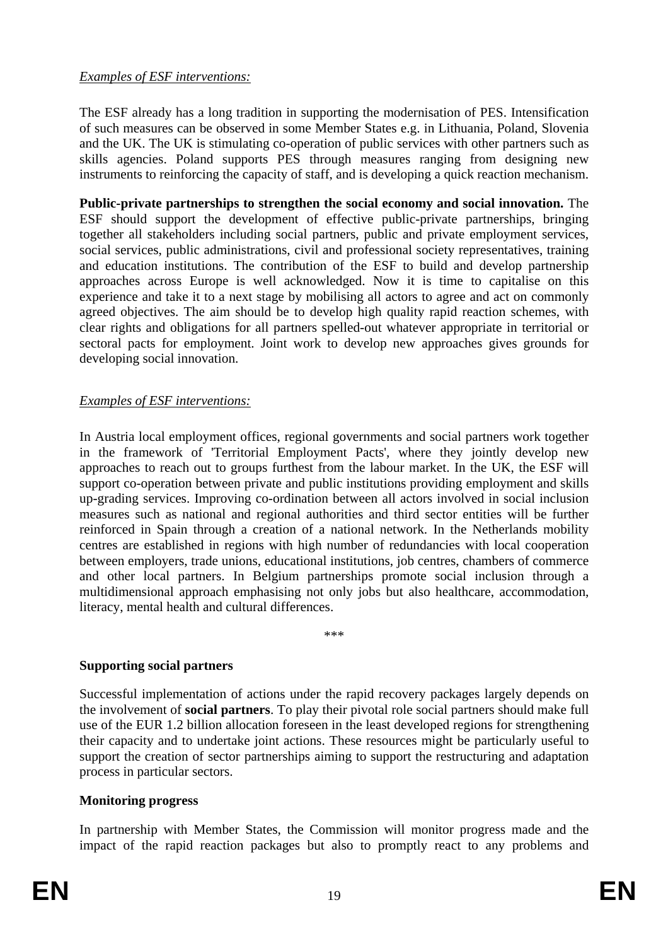#### *Examples of ESF interventions:*

The ESF already has a long tradition in supporting the modernisation of PES. Intensification of such measures can be observed in some Member States e.g. in Lithuania, Poland, Slovenia and the UK. The UK is stimulating co-operation of public services with other partners such as skills agencies. Poland supports PES through measures ranging from designing new instruments to reinforcing the capacity of staff, and is developing a quick reaction mechanism.

**Public-private partnerships to strengthen the social economy and social innovation.** The ESF should support the development of effective public-private partnerships, bringing together all stakeholders including social partners, public and private employment services, social services, public administrations, civil and professional society representatives, training and education institutions. The contribution of the ESF to build and develop partnership approaches across Europe is well acknowledged. Now it is time to capitalise on this experience and take it to a next stage by mobilising all actors to agree and act on commonly agreed objectives. The aim should be to develop high quality rapid reaction schemes, with clear rights and obligations for all partners spelled-out whatever appropriate in territorial or sectoral pacts for employment. Joint work to develop new approaches gives grounds for developing social innovation.

# *Examples of ESF interventions:*

In Austria local employment offices, regional governments and social partners work together in the framework of 'Territorial Employment Pacts', where they jointly develop new approaches to reach out to groups furthest from the labour market. In the UK, the ESF will support co-operation between private and public institutions providing employment and skills up-grading services. Improving co-ordination between all actors involved in social inclusion measures such as national and regional authorities and third sector entities will be further reinforced in Spain through a creation of a national network. In the Netherlands mobility centres are established in regions with high number of redundancies with local cooperation between employers, trade unions, educational institutions, job centres, chambers of commerce and other local partners. In Belgium partnerships promote social inclusion through a multidimensional approach emphasising not only jobs but also healthcare, accommodation, literacy, mental health and cultural differences.

\*\*\*

# **Supporting social partners**

Successful implementation of actions under the rapid recovery packages largely depends on the involvement of **social partners**. To play their pivotal role social partners should make full use of the EUR 1.2 billion allocation foreseen in the least developed regions for strengthening their capacity and to undertake joint actions. These resources might be particularly useful to support the creation of sector partnerships aiming to support the restructuring and adaptation process in particular sectors.

#### **Monitoring progress**

In partnership with Member States, the Commission will monitor progress made and the impact of the rapid reaction packages but also to promptly react to any problems and